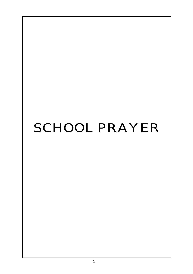# SCHOOL PRAYER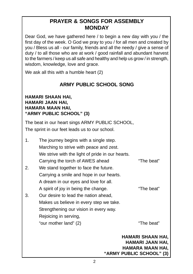# **PRAYER & SONGS FOR ASSEMBLY MONDAY**

Dear God, we have gathered here / to begin a new day with you / the first day of the week. O God we pray to you / for all men and created by you / Bless us all - our family, friends and all the needy / give a sense of duty / to all those who are at work / good rainfall and abundant harvest to the farmers / keep us all safe and healthy and help us grow / in strength, wisdom, knowledge, love and grace.

We ask all this with a humble heart (2)

# **ARMY PUBLIC SCHOOL SONG**

### **HAMARI SHAAN HAI, HAMARI JAAN HAI, HAMARA MAAN HAI, "ARMY PUBLIC SCHOOL" (3)**

The beat in our heart sings ARMY PUBLIC SCHOOL, The sprint in our feet leads us to our school.

|    |                                                  | HAMARI SHAAN HAI,<br>HAMARI JAAN HAI.<br>HAMARA MAAN HAI,<br>"ARMY PUBLIC SCHOOL" (3) |
|----|--------------------------------------------------|---------------------------------------------------------------------------------------|
|    | "our mother land" (2)                            | "The beat"                                                                            |
|    | Rejoicing in serving,                            |                                                                                       |
|    | Strengthening our vision in every way.           |                                                                                       |
|    | Makes us believe in every step we take.          |                                                                                       |
| 3. | Our desire to lead the nation ahead,             |                                                                                       |
|    | A spirit of joy in being the change.             | "The beat"                                                                            |
|    | A dream in our eyes and love for all.            |                                                                                       |
|    | Carrying a smile and hope in our hearts.         |                                                                                       |
| 2. | We stand together to face the future.            |                                                                                       |
|    | Carrying the torch of AWES ahead                 | "The beat"                                                                            |
|    | We strive with the light of pride in our hearts. |                                                                                       |
|    | Marching to strive with peace and zest.          |                                                                                       |
| 1. | The journey begins with a single step.           |                                                                                       |
|    |                                                  |                                                                                       |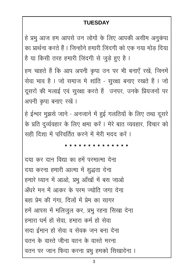## **TUESDAY**

हे प्रभू आज हम आपसे उन लोगों के लिए आपकी असीम अनूकंपा का प्रार्थना करते हैं। जिन्होंने हमारी ज़िंदगी को एक नया मोड़ दिया है या किसी तरह हमारी ज़िंदगी से जुड़े हुए है।

हम चाहते हैं कि आप अपनी कृपा उन पर भी बनाएँ रखें, जिनमें सेवा भाव है । जो समाज मे शांति - सुरक्षा बनाए रखते हैं । जो दूसरों की भलाई एवं सुरक्षा करते हैं उनपर, उनके प्रियजनों पर अपनी कृपा बनाए रखें ।

हे ईश्वर मुझसे जाने - अनजाने में हुई गलतियों के लिए तथा दूसरे के प्रति दुर्व्यवहार के लिए क्षमा करें । मेरे बात व्यवहार, विचार को सही दिशा में परिवर्तित करने में मेरी मदद करें।

दया कर दान विद्या का हमें परमात्मा देना दया करना हमारी आत्मा में शुद्धता देना हमारे ध्यान में आओ, प्रभु आँखों में बस जाओ अँधरे मन में आकर के परम ज्योति जगा देना बहा प्रेम की गंगा. दिलों में प्रेम का सागर हमें आपस में मलिजुल कर, प्रभु रहना सिखा देना हमारा धर्म हो सेवा, हमारा कर्म हो सेवा सदा ईमान हो सेवा व सेवक जन बना देना वतन के वास्ते जीना वतन के वास्ते मरना वतन पर जान फिदा करना प्रभु हमको सिखादेना ।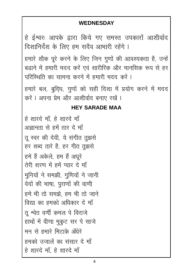## **WEDNESDAY**

हे ईश्वर! आपके द्वारा किये गए समस्त उपकारों आशीर्वाद दिशानिर्देश के लिए हम सदैव आभारी रहेंगे । हमारे शौक पूरे करने के लिए जिन गुणों की आवश्यकता है, उन्हें बढाने में हमारी मदद करें एवं शारीरिक और मानसिक रूप से हर परिस्थिति का सामना करने में हमारी मदद करें । हमारे बल, बुदिध, गुणों को सही दिशा में प्रयोग करने में मदद करें । अपना प्रेम और आशीर्वाद बनाए रखें ।

## **HEY SARADE MAA**

हे शारदे माँ, हे शारदे माँ अज्ञानता से हमें तार दे माँ त स्वर की देवी, ये संगीत तझसे हर शब्द तारे है, हर गीत तुझसे हमे हैं अकेले. हम हैं अधरे तेरी शरण में हमें प्यार दे माँ मूनियों ने समझी, गुणियों ने जानी वेदों की भाषा, पूराणों की वाणी हमे भी तो समझे. हम भी तो जाने विद्या का हमको अधिकार दे माँ त श्वेत वर्णी कमल पे विराजे हाथों में वीणा मुकूट सर पे साजे मन से हमारे मिटाके अँधेरे हमको उजालें का संसार दे माँ हे शारदे माँ, हे शारदे माँ

 $\boldsymbol{\Lambda}$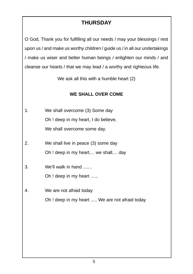# **THURSDAY**

O God, Thank you for fulfilling all our needs / may your blessings / rest upon us / and make us worthy children / guide us / in all our undertakings / make us wiser and better human beings / enlighten our minds / and cleanse our hearts / that we may lead / a worthy and righteous life.

We ask all this with a humble heart (2)

## **WE SHALL OVER COME**

- 1. We shall overcome (3) Some day Oh ! deep in my heart, I do believe, We shall overcome some day.
- 2. We shall live in peace (3) some day Oh ! deep in my heart.... we shall.... day
- 3. We'll walk in hand ....... Oh ! deep in my heart ......
- 4. We are not afraid today Oh ! deep in my heart ..... We are not afraid today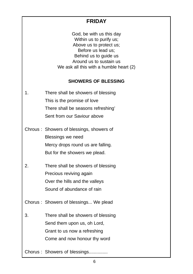## **FRIDAY**

God, be with us this day Within us to purify us; Above us to protect us; Before us lead us; Behind us to guide us Around us to sustain us We ask all this with a humble heart (2)

#### **SHOWERS OF BLESSING**

- 1. There shall be showers of blessing This is the promise of love There shall be seasons refreshing' Sent from our Saviour above
- Chrous : Showers of blessings, showers of Blessings we need Mercy drops round us are falling. But for the showers we plead.
- 2. There shall be showers of blessing Precious reviving again Over the hills and the valleys Sound of abundance of rain

Chorus : Showers of blessings... We plead

3. There shall be showers of blessing Send them upon us, oh Lord, Grant to us now a refreshing Come and now honour thy word

Chorus : Showers of blessings..............